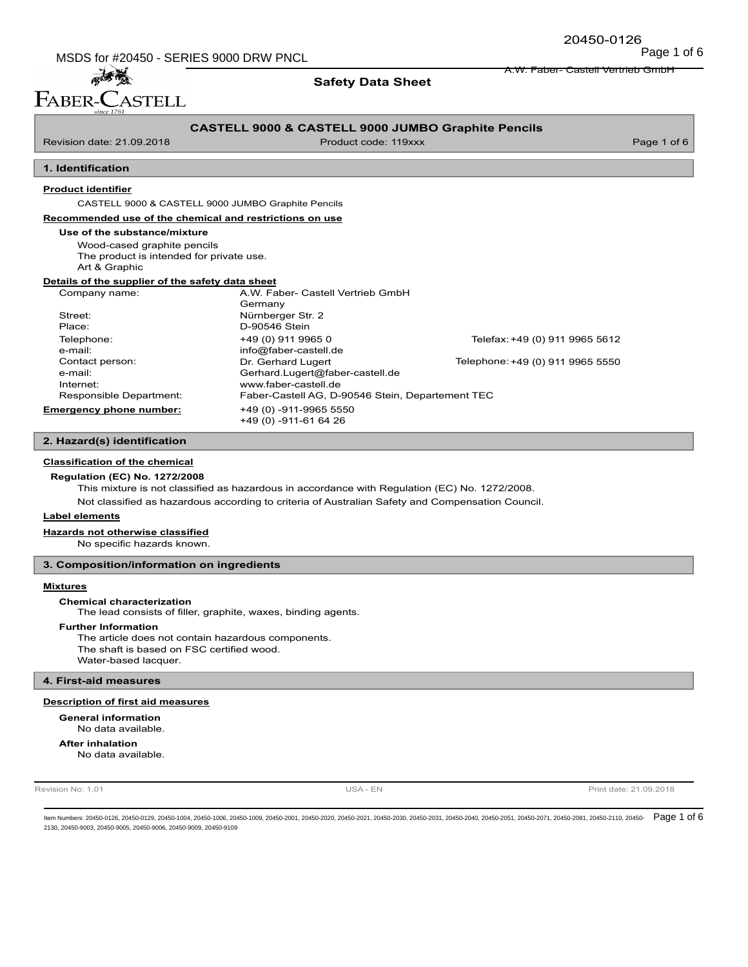MSDS for #20450 - SERIES 9000 DRW PNCL Notice that the extent of 6 MSDS for #20450 - SERIES 9000 DRW PNCL

20450-0126

## **Safety Data Sheet**

#### A.W. Faber- Castell Vertrieb GmbH

FABER-CASTELL

孟子

|                                                         | <b>CASTELL 9000 &amp; CASTELL 9000 JUMBO Graphite Pencils</b> |             |
|---------------------------------------------------------|---------------------------------------------------------------|-------------|
| Revision date: 21.09.2018                               | Product code: 119xxx                                          | Page 1 of 6 |
|                                                         |                                                               |             |
| 1. Identification                                       |                                                               |             |
| <b>Product identifier</b>                               |                                                               |             |
| CASTELL 9000 & CASTELL 9000 JUMBO Graphite Pencils      |                                                               |             |
| Recommended use of the chemical and restrictions on use |                                                               |             |
| Use of the substance/mixture                            |                                                               |             |

# **Use of the subs**

Wood-cased graphite pencils The product is intended for private use. Art & Graphic

## **Details of the supplier of the safety data sheet**

| Company name:           | A.W. Faber- Castell Vertrieb GmbH                |                                  |
|-------------------------|--------------------------------------------------|----------------------------------|
|                         | Germany                                          |                                  |
| Street:                 | Nürnberger Str. 2                                |                                  |
| Place:                  | D-90546 Stein                                    |                                  |
| Telephone:              | +49 (0) 911 9965 0                               | Telefax: +49 (0) 911 9965 5612   |
| e-mail:                 | info@faber-castell.de                            |                                  |
| Contact person:         | Dr. Gerhard Lugert                               | Telephone: +49 (0) 911 9965 5550 |
| e-mail:                 | Gerhard.Lugert@faber-castell.de                  |                                  |
| Internet:               | www.faber-castell.de                             |                                  |
| Responsible Department: | Faber-Castell AG, D-90546 Stein, Departement TEC |                                  |
| Emergency phone number: | +49 (0) -911-9965 5550                           |                                  |
|                         | +49 (0) -911-61 64 26                            |                                  |

### **2. Hazard(s) identification**

### **Classification of the chemical**

#### **Regulation (EC) No. 1272/2008**

This mixture is not classified as hazardous in accordance with Regulation (EC) No. 1272/2008. Not classified as hazardous according to criteria of Australian Safety and Compensation Council.

#### **Label elements**

#### **Hazards not otherwise classified**

No specific hazards known.

### **3. Composition/information on ingredients**

### **Mixtures**

**Chemical characterization**

The lead consists of filler, graphite, waxes, binding agents.

#### **Further Information**

The article does not contain hazardous components. The shaft is based on FSC certified wood. Water-based lacquer.

#### **4. First-aid measures**

#### **Description of first aid measures**

No data available. **General information**

No data available. **After inhalation**

Revision No: 1,01 **Print date: 21.09.2018 USA - EN Print date: 21.09.2018** 

ltem Numbers: 20450-0126, 20450-0129, 20450-1004, 20450-1006, 20450-1009, 20450-2001, 20450-2020, 20450-2030, 20450-2031, 20450-2001, 20450-2001, 20450-2081, 20450-2081, 20450-2081, 20450-2081, 20450-2081, 20450-2081, 2045 2130, 20450-9003, 20450-9005, 20450-9006, 20450-9009, 20450-9109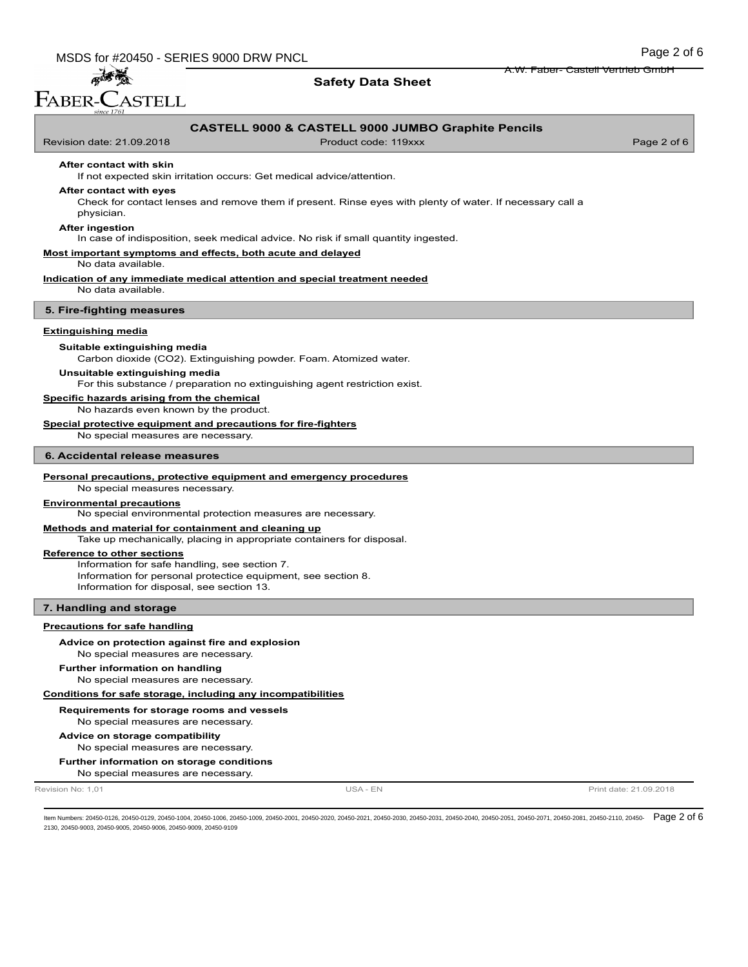MSDS for #20450 - SERIES 9000 DRW PNCL Notice that the extent of the control of the Page 2 of 6

孟家

**Safety Data Sheet**

A.W. Faber- Castell Vertrieb GmbH

## FABER-CASTELL **CASTELL 9000 & CASTELL 9000 JUMBO Graphite Pencils** Revision date: 21.09.2018 **Product code: 119xxx** Product code: 119xxx Page 2 of 6 **After contact with skin** If not expected skin irritation occurs: Get medical advice/attention. **After contact with eyes** Check for contact lenses and remove them if present. Rinse eyes with plenty of water. If necessary call a physician. **After ingestion** In case of indisposition, seek medical advice. No risk if small quantity ingested. **Most important symptoms and effects, both acute and delayed** No data available. **Indication of any immediate medical attention and special treatment needed** No data available. **5. Fire-fighting measures Extinguishing media Suitable extinguishing media** Carbon dioxide (CO2). Extinguishing powder. Foam. Atomized water. **Unsuitable extinguishing media** For this substance / preparation no extinguishing agent restriction exist. **Specific hazards arising from the chemical** No hazards even known by the product. **Special protective equipment and precautions for fire-fighters** No special measures are necessary. **6. Accidental release measures Personal precautions, protective equipment and emergency procedures** No special measures necessary. **Environmental precautions** No special environmental protection measures are necessary. **Methods and material for containment and cleaning up** Take up mechanically, placing in appropriate containers for disposal. **Reference to other sections** Information for safe handling, see section 7. Information for personal protectice equipment, see section 8. Information for disposal, see section 13. **7. Handling and storage Precautions for safe handling Advice on protection against fire and explosion** No special measures are necessary. **Further information on handling** No special measures are necessary. **Conditions for safe storage, including any incompatibilities Requirements for storage rooms and vessels** No special measures are necessary. **Advice on storage compatibility** No special measures are necessary. **Further information on storage conditions** No special measures are necessary. Revision No: 1,01 **Print date: 21.09.2018** USA - EN USA - EN Print date: 21.09.2018 ltem Numbers: 20450-0126, 20450-0129, 20450-1004, 20450-1006, 20450-1009, 20450-2001, 20450-2020, 20450-2030, 20450-2031, 20450-2001, 20450-2001, 20450-2081, 20450-2081, 20450-2081, 20450-2081, 20450-2081, 20450-2081, 2045 2130, 20450-9003, 20450-9005, 20450-9006, 20450-9009, 20450-9109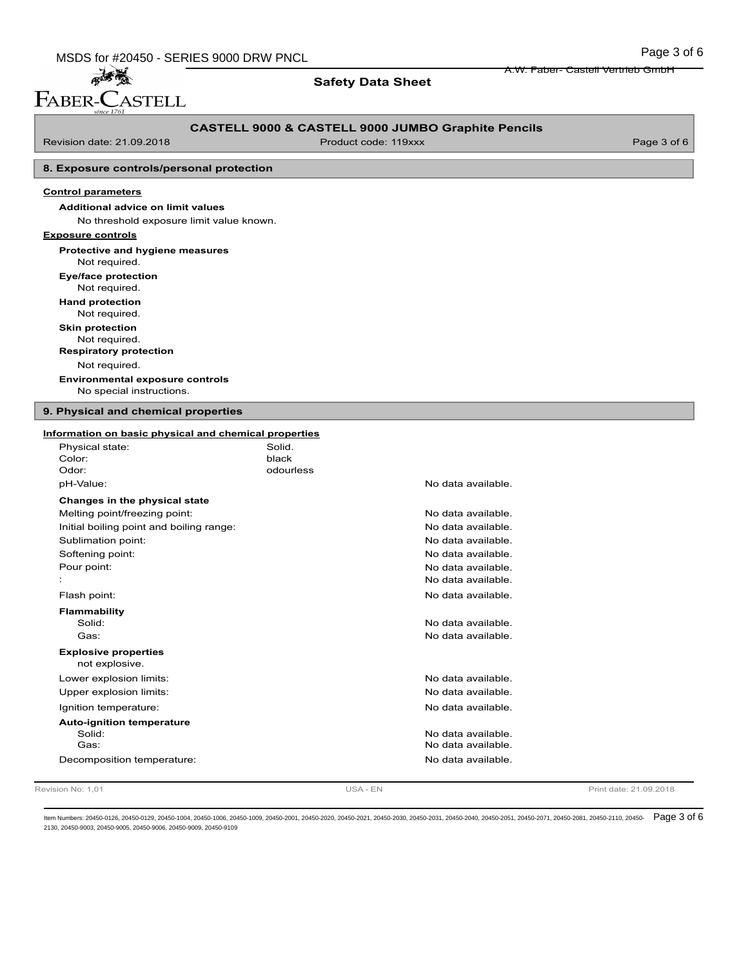**Safety Data Sheet**

## **CASTELL 9000 & CASTELL 9000 JUMBO Graphite Pencils**

Revision date: 21.09.2018 Product code: 119xxx Page 3 of 6

高高 FABER-CASTELL

## **8. Exposure controls/personal protection**

#### **Control parameters**

No threshold exposure limit value known. **Additional advice on limit values**

#### **Exposure controls**

| Protective and hygiene measures<br>Not required. |
|--------------------------------------------------|
| Eye/face protection                              |
| Not required.                                    |
| <b>Hand protection</b>                           |
| Not required.                                    |
| <b>Skin protection</b>                           |
| Not required.                                    |
| <b>Respiratory protection</b>                    |
| Not required.                                    |

No special instructions. **Environmental exposure controls**

**9. Physical and chemical properties**

## black Physical state: Solid. Color: **Information on basic physical and chemical properties** Odor: odourless pH-Value: No data available. **Changes in the physical state** Melting point/freezing point: No data available. Initial boiling point and boiling range: No data available. Sublimation point: No data available. Softening point: No data available. Pour point: No data available. : No data available. Flash point: No data available. **Flammability** No data available. Gas: No data available. not explosive. **Explosive properties** Lower explosion limits:  $\blacksquare$ Upper explosion limits:  $\blacksquare$ Ignition temperature:  $\blacksquare$ **Auto-ignition temperature** Solid: No data available. No data available. Decomposition temperature:  $\blacksquare$  No data available.

Revision No: 1,01 **Print date: 21.09.2018 USA - EN Print date: 21.09.2018** 

ltem Numbers: 20450-0126, 20450-0129, 20450-1004, 20450-1006, 20450-1009, 20450-2001, 20450-2020, 20450-2030, 20450-2031, 20450-2001, 20450-2001, 20450-2081, 20450-2081, 20450-2081, 20450-2081, 20450-2081, 20450-2081, 2045 2130, 20450-9003, 20450-9005, 20450-9006, 20450-9009, 20450-9109

A.W. Faber- Castell Vertrieb GmbH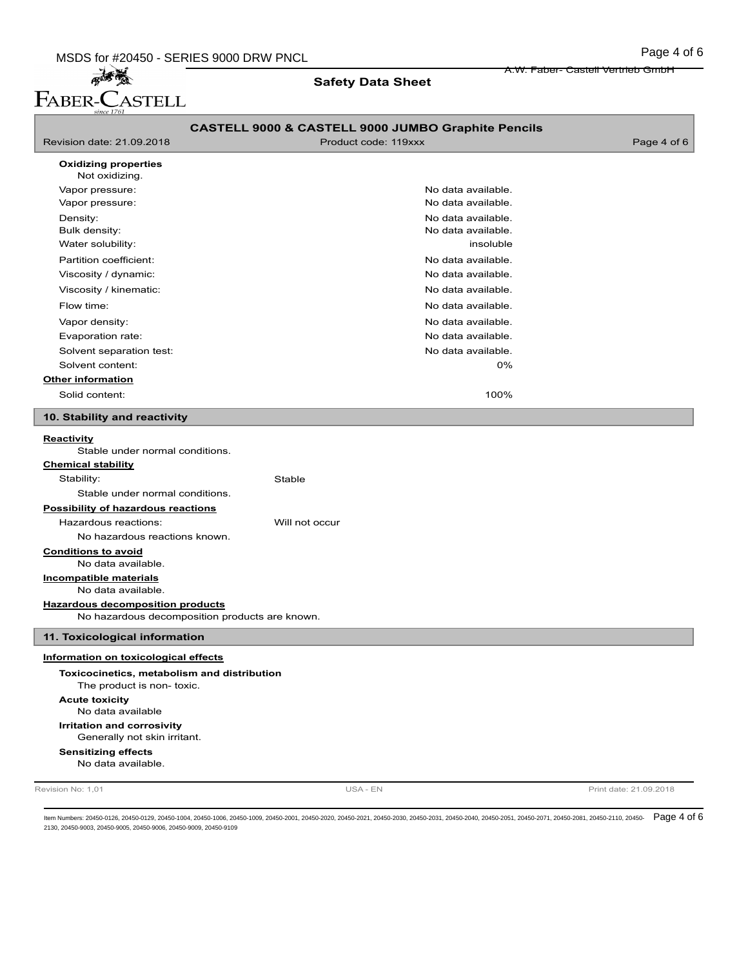

## **Safety Data Sheet**

| since 1761                                                               |                                                    |             |
|--------------------------------------------------------------------------|----------------------------------------------------|-------------|
|                                                                          | CASTELL 9000 & CASTELL 9000 JUMBO Graphite Pencils |             |
| Revision date: 21.09.2018                                                | Product code: 119xxx                               | Page 4 of 6 |
| <b>Oxidizing properties</b><br>Not oxidizing.                            |                                                    |             |
| Vapor pressure:                                                          | No data available.                                 |             |
| Vapor pressure:                                                          | No data available.                                 |             |
| Density:<br>Bulk density:                                                | No data available.<br>No data available.           |             |
| Water solubility:                                                        | insoluble                                          |             |
| Partition coefficient:                                                   | No data available.                                 |             |
| Viscosity / dynamic:                                                     | No data available.                                 |             |
| Viscosity / kinematic:                                                   | No data available.                                 |             |
| Flow time:                                                               | No data available.                                 |             |
| Vapor density:                                                           | No data available.                                 |             |
| Evaporation rate:                                                        | No data available.                                 |             |
| Solvent separation test:                                                 | No data available.                                 |             |
| Solvent content:                                                         | 0%                                                 |             |
| <b>Other information</b>                                                 |                                                    |             |
| Solid content:                                                           | 100%                                               |             |
| 10. Stability and reactivity                                             |                                                    |             |
| <b>Reactivity</b><br>Stable under normal conditions.                     |                                                    |             |
| <b>Chemical stability</b>                                                |                                                    |             |
| Stability:                                                               | Stable                                             |             |
| Stable under normal conditions.                                          |                                                    |             |
| Possibility of hazardous reactions                                       |                                                    |             |
| Hazardous reactions:                                                     | Will not occur                                     |             |
| No hazardous reactions known.                                            |                                                    |             |
| <b>Conditions to avoid</b>                                               |                                                    |             |
| No data available.                                                       |                                                    |             |
| Incompatible materials<br>No data available.                             |                                                    |             |
| <b>Hazardous decomposition products</b>                                  |                                                    |             |
| No hazardous decomposition products are known.                           |                                                    |             |
| 11. Toxicological information                                            |                                                    |             |
| <u>Information on toxicological effects</u>                              |                                                    |             |
| Toxicocinetics, metabolism and distribution<br>The product is non-toxic. |                                                    |             |
| <b>Acute toxicity</b><br>No data available                               |                                                    |             |
| Irritation and corrosivity<br>Generally not skin irritant.               |                                                    |             |
| <b>Sensitizing effects</b><br>No data available.                         |                                                    |             |

Revision No: 1,01 **Print date: 21.09.2018** USA - EN USA - EN Print date: 21.09.2018

ltem Numbers: 20450-0126, 20450-0129, 20450-1004, 20450-1006, 20450-1009, 20450-2001, 20450-2020, 20450-2021, 20450-2031, 20450-2001, 20450-2001, 20450-2081, 20450-2081, 20450-2081, 20450-2081, 20450-2081, 20450-2081, 2045 2130, 20450-9003, 20450-9005, 20450-9006, 20450-9009, 20450-9109

A.W. Faber- Castell Vertrieb GmbH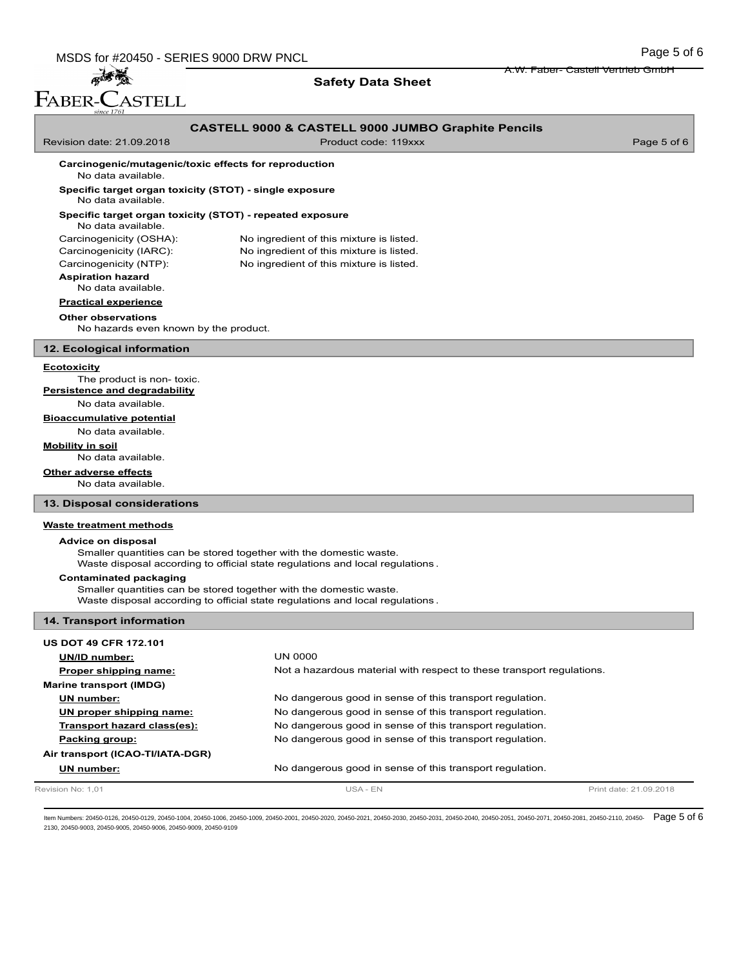A.W. Faber- Castell Vertrieb GmbH

## **Safety Data Sheet**

| Carcinogenic/mutagenic/toxic effects for reproduction<br>No data available.<br>Specific target organ toxicity (STOT) - single exposure<br>No data available.<br>Specific target organ toxicity (STOT) - repeated exposure<br>No data available.<br>Carcinogenicity (OSHA):<br>Carcinogenicity (IARC):<br>Carcinogenicity (NTP):<br><b>Aspiration hazard</b><br>No data available.<br><b>Practical experience</b><br><b>Other observations</b><br>No hazards even known by the product.<br>12. Ecological information<br><b>Ecotoxicity</b><br>The product is non-toxic.<br>Persistence and degradability<br>No data available.<br><b>Bioaccumulative potential</b><br>No data available. | No ingredient of this mixture is listed.<br>No ingredient of this mixture is listed.<br>No ingredient of this mixture is listed.                                                                                     |                        |
|------------------------------------------------------------------------------------------------------------------------------------------------------------------------------------------------------------------------------------------------------------------------------------------------------------------------------------------------------------------------------------------------------------------------------------------------------------------------------------------------------------------------------------------------------------------------------------------------------------------------------------------------------------------------------------------|----------------------------------------------------------------------------------------------------------------------------------------------------------------------------------------------------------------------|------------------------|
|                                                                                                                                                                                                                                                                                                                                                                                                                                                                                                                                                                                                                                                                                          |                                                                                                                                                                                                                      |                        |
|                                                                                                                                                                                                                                                                                                                                                                                                                                                                                                                                                                                                                                                                                          |                                                                                                                                                                                                                      |                        |
|                                                                                                                                                                                                                                                                                                                                                                                                                                                                                                                                                                                                                                                                                          |                                                                                                                                                                                                                      |                        |
|                                                                                                                                                                                                                                                                                                                                                                                                                                                                                                                                                                                                                                                                                          |                                                                                                                                                                                                                      |                        |
|                                                                                                                                                                                                                                                                                                                                                                                                                                                                                                                                                                                                                                                                                          |                                                                                                                                                                                                                      |                        |
|                                                                                                                                                                                                                                                                                                                                                                                                                                                                                                                                                                                                                                                                                          |                                                                                                                                                                                                                      |                        |
|                                                                                                                                                                                                                                                                                                                                                                                                                                                                                                                                                                                                                                                                                          |                                                                                                                                                                                                                      |                        |
|                                                                                                                                                                                                                                                                                                                                                                                                                                                                                                                                                                                                                                                                                          |                                                                                                                                                                                                                      |                        |
|                                                                                                                                                                                                                                                                                                                                                                                                                                                                                                                                                                                                                                                                                          |                                                                                                                                                                                                                      |                        |
|                                                                                                                                                                                                                                                                                                                                                                                                                                                                                                                                                                                                                                                                                          |                                                                                                                                                                                                                      |                        |
|                                                                                                                                                                                                                                                                                                                                                                                                                                                                                                                                                                                                                                                                                          |                                                                                                                                                                                                                      |                        |
|                                                                                                                                                                                                                                                                                                                                                                                                                                                                                                                                                                                                                                                                                          |                                                                                                                                                                                                                      |                        |
|                                                                                                                                                                                                                                                                                                                                                                                                                                                                                                                                                                                                                                                                                          |                                                                                                                                                                                                                      |                        |
|                                                                                                                                                                                                                                                                                                                                                                                                                                                                                                                                                                                                                                                                                          |                                                                                                                                                                                                                      |                        |
|                                                                                                                                                                                                                                                                                                                                                                                                                                                                                                                                                                                                                                                                                          |                                                                                                                                                                                                                      |                        |
| <b>Mobility in soil</b>                                                                                                                                                                                                                                                                                                                                                                                                                                                                                                                                                                                                                                                                  |                                                                                                                                                                                                                      |                        |
| No data available.                                                                                                                                                                                                                                                                                                                                                                                                                                                                                                                                                                                                                                                                       |                                                                                                                                                                                                                      |                        |
| Other adverse effects                                                                                                                                                                                                                                                                                                                                                                                                                                                                                                                                                                                                                                                                    |                                                                                                                                                                                                                      |                        |
| No data available.<br>13. Disposal considerations                                                                                                                                                                                                                                                                                                                                                                                                                                                                                                                                                                                                                                        |                                                                                                                                                                                                                      |                        |
| <b>Waste treatment methods</b>                                                                                                                                                                                                                                                                                                                                                                                                                                                                                                                                                                                                                                                           |                                                                                                                                                                                                                      |                        |
| Advice on disposal                                                                                                                                                                                                                                                                                                                                                                                                                                                                                                                                                                                                                                                                       |                                                                                                                                                                                                                      |                        |
| Smaller quantities can be stored together with the domestic waste.<br>Waste disposal according to official state regulations and local regulations.                                                                                                                                                                                                                                                                                                                                                                                                                                                                                                                                      |                                                                                                                                                                                                                      |                        |
| <b>Contaminated packaging</b>                                                                                                                                                                                                                                                                                                                                                                                                                                                                                                                                                                                                                                                            |                                                                                                                                                                                                                      |                        |
| Smaller quantities can be stored together with the domestic waste.<br>Waste disposal according to official state regulations and local regulations.                                                                                                                                                                                                                                                                                                                                                                                                                                                                                                                                      |                                                                                                                                                                                                                      |                        |
| 14. Transport information                                                                                                                                                                                                                                                                                                                                                                                                                                                                                                                                                                                                                                                                |                                                                                                                                                                                                                      |                        |
|                                                                                                                                                                                                                                                                                                                                                                                                                                                                                                                                                                                                                                                                                          |                                                                                                                                                                                                                      |                        |
| <b>US DOT 49 CFR 172.101</b>                                                                                                                                                                                                                                                                                                                                                                                                                                                                                                                                                                                                                                                             | <b>UN 0000</b>                                                                                                                                                                                                       |                        |
| UN/ID number:<br>Proper shipping name:                                                                                                                                                                                                                                                                                                                                                                                                                                                                                                                                                                                                                                                   | Not a hazardous material with respect to these transport regulations.                                                                                                                                                |                        |
| <b>Marine transport (IMDG)</b>                                                                                                                                                                                                                                                                                                                                                                                                                                                                                                                                                                                                                                                           |                                                                                                                                                                                                                      |                        |
| UN number:                                                                                                                                                                                                                                                                                                                                                                                                                                                                                                                                                                                                                                                                               | No dangerous good in sense of this transport regulation.                                                                                                                                                             |                        |
| UN proper shipping name:                                                                                                                                                                                                                                                                                                                                                                                                                                                                                                                                                                                                                                                                 | No dangerous good in sense of this transport regulation.                                                                                                                                                             |                        |
| Transport hazard class(es):                                                                                                                                                                                                                                                                                                                                                                                                                                                                                                                                                                                                                                                              | No dangerous good in sense of this transport regulation.                                                                                                                                                             |                        |
| Packing group:                                                                                                                                                                                                                                                                                                                                                                                                                                                                                                                                                                                                                                                                           | No dangerous good in sense of this transport regulation.                                                                                                                                                             |                        |
| Air transport (ICAO-TI/IATA-DGR)                                                                                                                                                                                                                                                                                                                                                                                                                                                                                                                                                                                                                                                         |                                                                                                                                                                                                                      |                        |
| UN number:                                                                                                                                                                                                                                                                                                                                                                                                                                                                                                                                                                                                                                                                               | No dangerous good in sense of this transport regulation.                                                                                                                                                             |                        |
| Revision No: 1,01                                                                                                                                                                                                                                                                                                                                                                                                                                                                                                                                                                                                                                                                        | USA - EN                                                                                                                                                                                                             | Print date: 21.09.2018 |
|                                                                                                                                                                                                                                                                                                                                                                                                                                                                                                                                                                                                                                                                                          | ltem Numbers: 20450-0126, 20450-0129, 20450-1004, 20450-1006, 20450-1009, 20450-2001, 20450-2020, 20450-2021, 20450-2030, 20450-2031, 20450-2040, 20450-2051, 20450-2071, 20450-2081, 20450-2110, 20450-2110, 20450- | Page 5 of 6            |